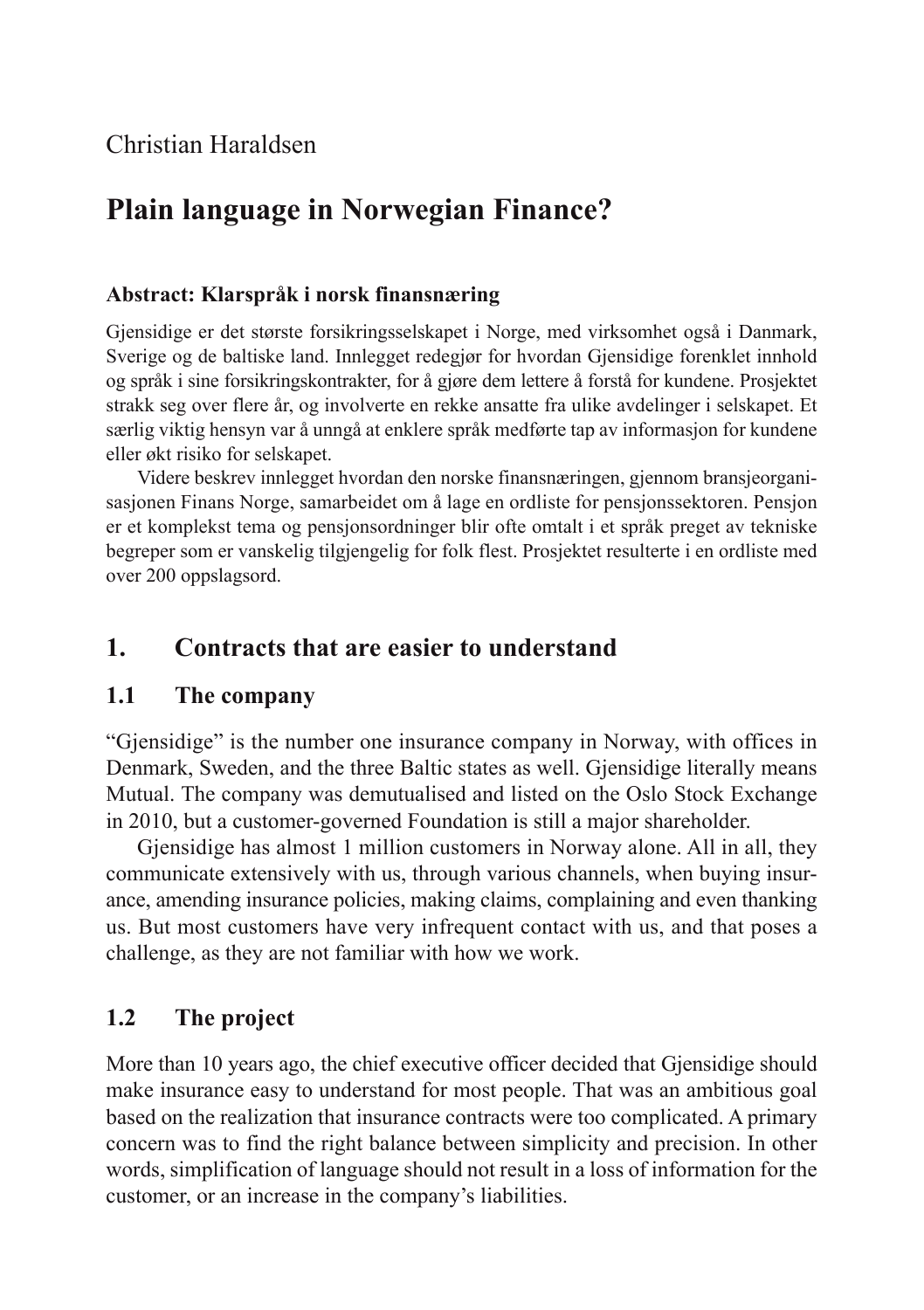## Christian Haraldsen

# **Plain language in Norwegian Finance?**

#### **Abstract: Klarspråk i norsk finansnæring**

Gjensidige er det største forsikringsselskapet i Norge, med virksomhet også i Danmark, Sverige og de baltiske land. Innlegget redegjør for hvordan Gjensidige forenklet innhold og språk i sine forsikringskontrakter, for å gjøre dem lettere å forstå for kundene. Prosjektet strakk seg over flere år, og involverte en rekke ansatte fra ulike avdelinger i selskapet. Et særlig viktig hensyn var å unngå at enklere språk medførte tap av informasjon for kundene eller økt risiko for selskapet.

Videre beskrev innlegget hvordan den norske finansnæringen, gjennom bransjeorganisasjonen Finans Norge, samarbeidet om å lage en ordliste for pensjonssektoren. Pensjon er et komplekst tema og pensjonsordninger blir ofte omtalt i et språk preget av tekniske begreper som er vanskelig tilgjengelig for folk flest. Prosjektet resulterte i en ordliste med over 200 oppslagsord.

### **1. Contracts that are easier to understand**

#### **1.1 The company**

"Gjensidige" is the number one insurance company in Norway, with offices in Denmark, Sweden, and the three Baltic states as well. Gjensidige literally means Mutual. The company was demutualised and listed on the Oslo Stock Exchange in 2010, but a customer-governed Foundation is still a major shareholder.

Gjensidige has almost 1 million customers in Norway alone. All in all, they communicate extensively with us, through various channels, when buying insurance, amending insurance policies, making claims, complaining and even thanking us. But most customers have very infrequent contact with us, and that poses a challenge, as they are not familiar with how we work.

#### **1.2 The project**

More than 10 years ago, the chief executive officer decided that Gjensidige should make insurance easy to understand for most people. That was an ambitious goal based on the realization that insurance contracts were too complicated. A primary concern was to find the right balance between simplicity and precision. In other words, simplification of language should not result in a loss of information for the customer, or an increase in the company's liabilities.